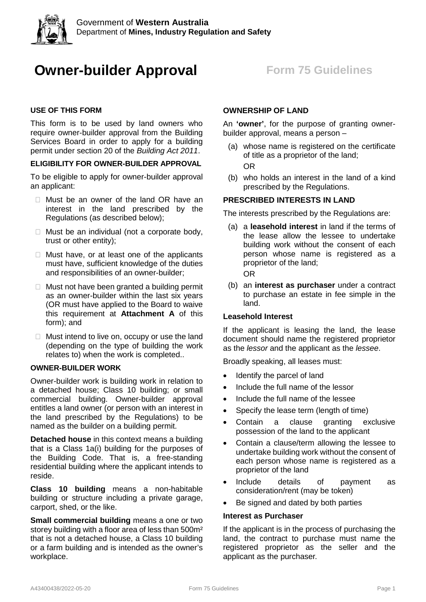

# **Owner-builder Approval** Form 75 Guidelines

# **USE OF THIS FORM**

This form is to be used by land owners who require owner-builder approval from the Building Services Board in order to apply for a building permit under section 20 of the *Building Act 2011*.

# **ELIGIBILITY FOR OWNER-BUILDER APPROVAL**

To be eligible to apply for owner-builder approval an applicant:

- □ Must be an owner of the land OR have an interest in the land prescribed by the Regulations (as described below);
- $\Box$  Must be an individual (not a corporate body, trust or other entity);
- $\Box$  Must have, or at least one of the applicants must have, sufficient knowledge of the duties and responsibilities of an owner-builder;
- $\Box$  Must not have been granted a building permit as an owner-builder within the last six years (OR must have applied to the Board to waive this requirement at **Attachment A** of this form); and
- $\Box$  Must intend to live on, occupy or use the land (depending on the type of building the work relates to) when the work is completed..

# **OWNER-BUILDER WORK**

Owner-builder work is building work in relation to a detached house; Class 10 building; or small commercial building. Owner-builder approval entitles a land owner (or person with an interest in the land prescribed by the Regulations) to be named as the builder on a building permit.

**Detached house** in this context means a building that is a Class 1a(i) building for the purposes of the Building Code. That is, a free-standing residential building where the applicant intends to reside.

**Class 10 building** means a non-habitable building or structure including a private garage, carport, shed, or the like.

**Small commercial building** means a one or two storey building with a floor area of less than 500m² that is not a detached house, a Class 10 building or a farm building and is intended as the owner's workplace.

# **OWNERSHIP OF LAND**

An **'owner'**, for the purpose of granting ownerbuilder approval, means a person –

- (a) whose name is registered on the certificate of title as a proprietor of the land; OR
- (b) who holds an interest in the land of a kind prescribed by the Regulations.

### **PRESCRIBED INTERESTS IN LAND**

The interests prescribed by the Regulations are:

- (a) a **leasehold interest** in land if the terms of the lease allow the lessee to undertake building work without the consent of each person whose name is registered as a proprietor of the land; OR
- (b) an **interest as purchaser** under a contract to purchase an estate in fee simple in the land.

# **Leasehold Interest**

If the applicant is leasing the land, the lease document should name the registered proprietor as the *lessor* and the applicant as the *lessee*.

Broadly speaking, all leases must:

- Identify the parcel of land
- Include the full name of the lessor
- Include the full name of the lessee
- Specify the lease term (length of time)
- Contain a clause granting exclusive possession of the land to the applicant
- Contain a clause/term allowing the lessee to undertake building work without the consent of each person whose name is registered as a proprietor of the land
- Include details of payment as consideration/rent (may be token)
- Be signed and dated by both parties

#### **Interest as Purchaser**

If the applicant is in the process of purchasing the land, the contract to purchase must name the registered proprietor as the seller and the applicant as the purchaser.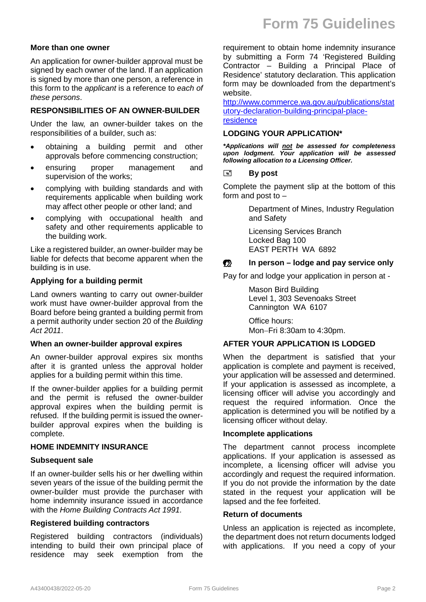#### **More than one owner**

An application for owner-builder approval must be signed by each owner of the land. If an application is signed by more than one person, a reference in this form to the *applicant* is a reference to *each of these persons*.

### **RESPONSIBILITIES OF AN OWNER-BUILDER**

Under the law, an owner-builder takes on the responsibilities of a builder, such as:

- obtaining a building permit and other approvals before commencing construction;
- ensuring proper management and supervision of the works;
- complying with building standards and with requirements applicable when building work may affect other people or other land; and
- complying with occupational health and safety and other requirements applicable to the building work.

Like a registered builder, an owner-builder may be liable for defects that become apparent when the building is in use.

### **Applying for a building permit**

Land owners wanting to carry out owner-builder work must have owner-builder approval from the Board before being granted a building permit from a permit authority under section 20 of the *Building Act 2011*.

#### **When an owner-builder approval expires**

An owner-builder approval expires six months after it is granted unless the approval holder applies for a building permit within this time.

If the owner-builder applies for a building permit and the permit is refused the owner-builder approval expires when the building permit is refused. If the building permit is issued the ownerbuilder approval expires when the building is complete.

#### **HOME INDEMNITY INSURANCE**

#### **Subsequent sale**

If an owner-builder sells his or her dwelling within seven years of the issue of the building permit the owner-builder must provide the purchaser with home indemnity insurance issued in accordance with the *Home Building Contracts Act 1991.*

#### **Registered building contractors**

Registered building contractors (individuals) intending to build their own principal place of residence may seek exemption from the requirement to obtain home indemnity insurance by submitting a Form 74 'Registered Building Contractor – Building a Principal Place of Residence' statutory declaration. This application form may be downloaded from the department's website.

[http://www.commerce.wa.gov.au/publications/stat](http://www.commerce.wa.gov.au/publications/statutory-declaration-building-principal-place-residence) [utory-declaration-building-principal-place](http://www.commerce.wa.gov.au/publications/statutory-declaration-building-principal-place-residence)[residence](http://www.commerce.wa.gov.au/publications/statutory-declaration-building-principal-place-residence)

#### **LODGING YOUR APPLICATION\***

*\*Applications will not be assessed for completeness upon lodgment. Your application will be assessed following allocation to a Licensing Officer.* 

# **By post**

Complete the payment slip at the bottom of this form and post to –

> Department of Mines, Industry Regulation and Safety

Licensing Services Branch Locked Bag 100 EAST PERTH WA 6892

# **In person** – **lodge and pay service only**

Pay for and lodge your application in person at -

Mason Bird Building Level 1, 303 Sevenoaks Street Cannington WA 6107

Office hours: Mon−Fri 8:30am to 4:30pm.

# **AFTER YOUR APPLICATION IS LODGED**

When the department is satisfied that your application is complete and payment is received, your application will be assessed and determined. If your application is assessed as incomplete, a licensing officer will advise you accordingly and request the required information. Once the application is determined you will be notified by a licensing officer without delay.

#### **Incomplete applications**

The department cannot process incomplete applications. If your application is assessed as incomplete, a licensing officer will advise you accordingly and request the required information. If you do not provide the information by the date stated in the request your application will be lapsed and the fee forfeited.

### **Return of documents**

Unless an application is rejected as incomplete, the department does not return documents lodged with applications. If you need a copy of your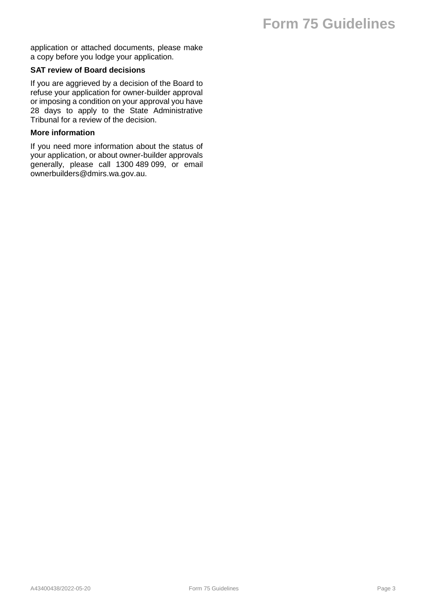# **Form 75 Guidelines**

application or attached documents, please make a copy before you lodge your application.

### **SAT review of Board decisions**

If you are aggrieved by a decision of the Board to refuse your application for owner-builder approval or imposing a condition on your approval you have 28 days to apply to the State Administrative Tribunal for a review of the decision.

### **More information**

If you need more information about the status of your application, or about owner-builder approvals generally, please call 1300 489 099, or email ownerbuilders@dmirs.wa.gov.au.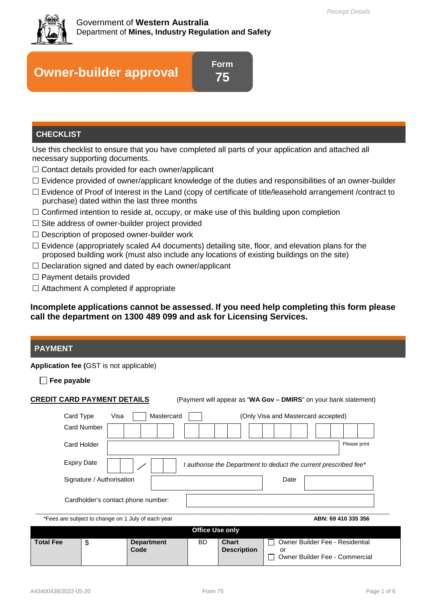

# **Owner-builder approval**

**Form 75**

# **CHECKLIST**

Use this checklist to ensure that you have completed all parts of your application and attached all necessary supporting documents.

- $\Box$  Contact details provided for each owner/applicant
- $\Box$  Evidence provided of owner/applicant knowledge of the duties and responsibilities of an owner-builder
- $\Box$  Evidence of Proof of Interest in the Land (copy of certificate of title/leasehold arrangement /contract to purchase) dated within the last three months
- $\Box$  Confirmed intention to reside at, occupy, or make use of this building upon completion
- $\square$  Site address of owner-builder project provided
- $\square$  Description of proposed owner-builder work
- $\Box$  Evidence (appropriately scaled A4 documents) detailing site, floor, and elevation plans for the proposed building work (must also include any locations of existing buildings on the site)
- $\Box$  Declaration signed and dated by each owner/applicant
- $\Box$  Payment details provided
- $\Box$  Attachment A completed if appropriate

**Incomplete applications cannot be assessed. If you need help completing this form please call the department on 1300 489 099 and ask for Licensing Services.**

# **PAYMENT**

#### **Application fee (**GST is not applicable)

**Fee payable**

| <b>CREDIT CARD PAYMENT DETAILS</b>                                                                                                                                                                                                                         |    |                           |           | (Payment will appear as "WA Gov - DMIRS" on your bank statement) |                                                                                       |  |
|------------------------------------------------------------------------------------------------------------------------------------------------------------------------------------------------------------------------------------------------------------|----|---------------------------|-----------|------------------------------------------------------------------|---------------------------------------------------------------------------------------|--|
| Mastercard<br>Card Type<br>Visa<br>(Only Visa and Mastercard accepted)<br><b>Card Number</b><br>Please print<br>Card Holder<br><b>Expiry Date</b><br>I authorise the Department to deduct the current prescribed fee*<br>Signature / Authorisation<br>Date |    |                           |           |                                                                  |                                                                                       |  |
| Cardholder's contact phone number:<br>*Fees are subject to change on 1 July of each year<br>ABN: 69 410 335 356                                                                                                                                            |    |                           |           |                                                                  |                                                                                       |  |
| <b>Office Use only</b>                                                                                                                                                                                                                                     |    |                           |           |                                                                  |                                                                                       |  |
| <b>Total Fee</b>                                                                                                                                                                                                                                           | \$ | <b>Department</b><br>Code | <b>BD</b> | <b>Chart</b><br><b>Description</b>                               | <b>Owner Builder Fee - Residential</b><br>or<br><b>Owner Builder Fee - Commercial</b> |  |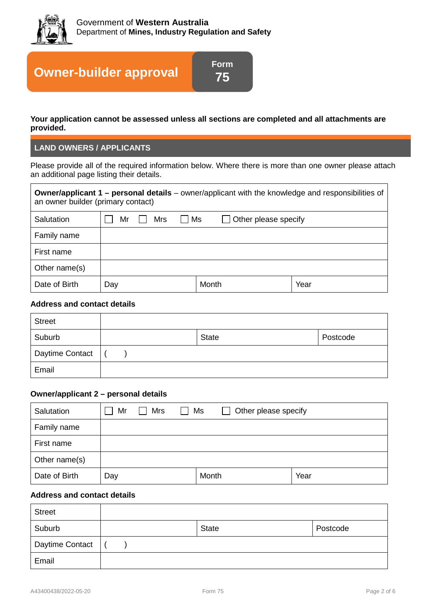

# **Owner-builder approval**

**Your application cannot be assessed unless all sections are completed and all attachments are provided.**

**Form 75**

# **LAND OWNERS / APPLICANTS**

Please provide all of the required information below. Where there is more than one owner please attach an additional page listing their details.

| <b>Owner/applicant 1 – personal details</b> – owner/applicant with the knowledge and responsibilities of<br>an owner builder (primary contact) |                                                        |  |  |       |      |
|------------------------------------------------------------------------------------------------------------------------------------------------|--------------------------------------------------------|--|--|-------|------|
| Salutation                                                                                                                                     | <b>Mrs</b><br>$\vert$ Ms<br>Other please specify<br>Mr |  |  |       |      |
| Family name                                                                                                                                    |                                                        |  |  |       |      |
| First name                                                                                                                                     |                                                        |  |  |       |      |
| Other name(s)                                                                                                                                  |                                                        |  |  |       |      |
| Date of Birth                                                                                                                                  | Day                                                    |  |  | Month | Year |

# **Address and contact details**

| <b>Street</b>          |              |          |
|------------------------|--------------|----------|
| Suburb                 | <b>State</b> | Postcode |
| <b>Daytime Contact</b> |              |          |
| Email                  |              |          |

#### **Owner/applicant 2 – personal details**

| Salutation    | Mr  | <b>Mrs</b> | Ms<br>$\sim$ | $\Box$ | Other please specify |  |
|---------------|-----|------------|--------------|--------|----------------------|--|
| Family name   |     |            |              |        |                      |  |
| First name    |     |            |              |        |                      |  |
| Other name(s) |     |            |              |        |                      |  |
| Date of Birth | Day |            |              | Month  | Year                 |  |

# **Address and contact details**

| <b>Street</b>   |              |          |
|-----------------|--------------|----------|
| Suburb          | <b>State</b> | Postcode |
| Daytime Contact |              |          |
| Email           |              |          |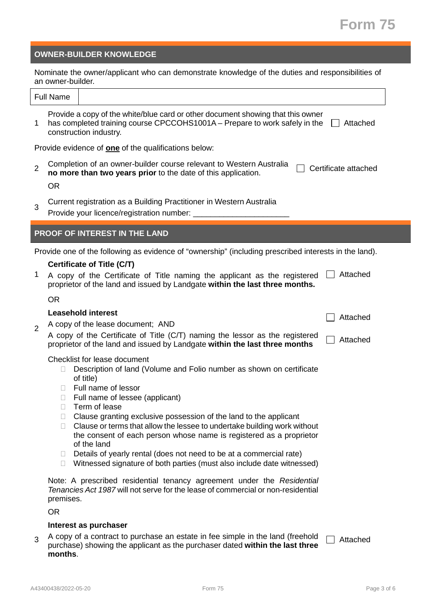# **Form 75**

### **OWNER-BUILDER KNOWLEDGE**

Nominate the owner/applicant who can demonstrate knowledge of the duties and responsibilities of an owner-builder.

| Full<br>une<br>ີ |                             |  |
|------------------|-----------------------------|--|
| _                | .<br>$\cdots$<br>. .<br>. . |  |

1 Provide a copy of the white/blue card or other document showing that this owner has completed training course CPCCOHS1001A – Prepare to work safely in the |\_\_| Attached construction industry.

Provide evidence of **one** of the qualifications below:

2 Completion of an owner-builder course relevant to Western Australia **no more than two years prior** to the date of this application.  $\Box$  Certificate attached **no more than two years prior** to the date of this application.

OR

3 Current registration as a Building Practitioner in Western Australia

Provide your licence/registration number:

# **PROOF OF INTEREST IN THE LAND**

Provide one of the following as evidence of "ownership" (including prescribed interests in the land).

### **Certificate of Title (C/T)**

1 A copy of the Certificate of Title naming the applicant as the registered  $\Box$  Attached proprietor of the land and issued by Landgate **within the last three months.**

OR

# **Leasehold interest**

2 A copy of the lease document; AND

| A copy of the Certificate of Title (C/T) naming the lessor as the registered $\sqsubset$ |        |
|------------------------------------------------------------------------------------------|--------|
| proprietor of the land and issued by Landgate within the last three months               | $\Box$ |

Checklist for lease document

- Description of land (Volume and Folio number as shown on certificate of title)
- □ Full name of lessor
- □ Full name of lessee (applicant)
- $\Box$  Term of lease
- $\Box$  Clause granting exclusive possession of the land to the applicant
- $\Box$  Clause or terms that allow the lessee to undertake building work without the consent of each person whose name is registered as a proprietor of the land
- $\Box$  Details of yearly rental (does not need to be at a commercial rate)
- $\Box$  Witnessed signature of both parties (must also include date witnessed)

Note: A prescribed residential tenancy agreement under the *Residential Tenancies Act 1987* will not serve for the lease of commercial or non-residential premises.

OR

#### **Interest as purchaser**

3 A copy of a contract to purchase an estate in fee simple in the land (freehold purchase) showing the applicant as the purchaser dated **within the last three months**. Attached

Attached

| Attached |
|----------|
|----------|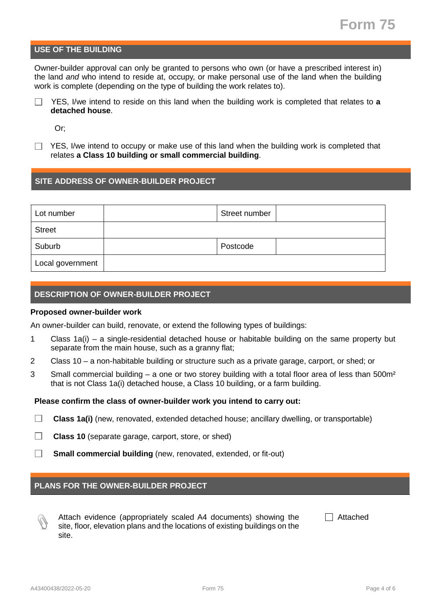# **USE OF THE BUILDING**

Owner-builder approval can only be granted to persons who own (or have a prescribed interest in) the land *and* who intend to reside at, occupy, or make personal use of the land when the building work is complete (depending on the type of building the work relates to).

YES, I/we intend to reside on this land when the building work is completed that relates to **a detached house**.

Or;

YES, I/we intend to occupy or make use of this land when the building work is completed that relates **a Class 10 building or small commercial building**.

# **SITE ADDRESS OF OWNER-BUILDER PROJECT**

| Lot number       | Street number |  |
|------------------|---------------|--|
| <b>Street</b>    |               |  |
| Suburb           | Postcode      |  |
| Local government |               |  |

### **DESCRIPTION OF OWNER-BUILDER PROJECT**

#### **Proposed owner-builder work**

An owner-builder can build, renovate, or extend the following types of buildings:

- 1 Class 1a(i) a single-residential detached house or habitable building on the same property but separate from the main house, such as a granny flat;
- 2 Class 10 a non-habitable building or structure such as a private garage, carport, or shed; or
- 3 Small commercial building a one or two storey building with a total floor area of less than 500m<sup>2</sup> that is not Class 1a(i) detached house, a Class 10 building, or a farm building.

#### **Please confirm the class of owner-builder work you intend to carry out:**

 $\Box$ **Class 1a(i)** (new, renovated, extended detached house; ancillary dwelling, or transportable)

 $\Box$ **Class 10** (separate garage, carport, store, or shed)

 $\Box$ **Small commercial building** (new, renovated, extended, or fit-out)

# **PLANS FOR THE OWNER-BUILDER PROJECT**



Attach evidence (appropriately scaled A4 documents) showing the site, floor, elevation plans and the locations of existing buildings on the site.

Attached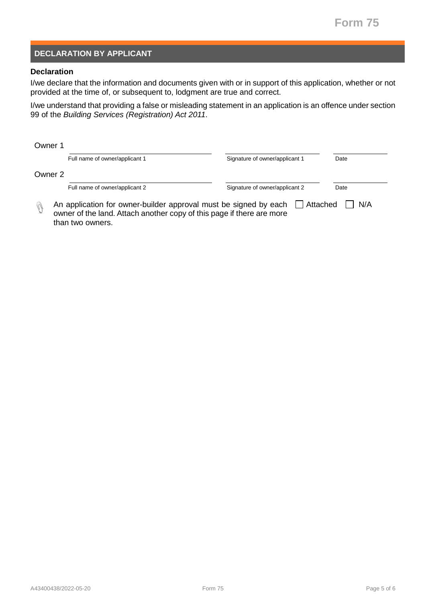# **DECLARATION BY APPLICANT**

# **Declaration**

I/we declare that the information and documents given with or in support of this application, whether or not provided at the time of, or subsequent to, lodgment are true and correct.

I/we understand that providing a false or misleading statement in an application is an offence under section 99 of the *Building Services (Registration) Act 2011*.

| Owner 1 |                                                                                                                                                               |                                |      |
|---------|---------------------------------------------------------------------------------------------------------------------------------------------------------------|--------------------------------|------|
|         | Full name of owner/applicant 1                                                                                                                                | Signature of owner/applicant 1 | Date |
| Owner 2 |                                                                                                                                                               |                                |      |
|         | Full name of owner/applicant 2                                                                                                                                | Signature of owner/applicant 2 | Date |
|         | An application for owner-builder approval must be signed by each<br>owner of the land. Attach another copy of this page if there are more<br>than two owners. | Attached                       | N/A  |